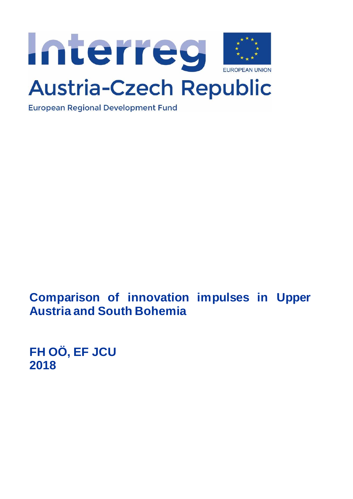

# **Austria-Czech Republic**

**European Regional Development Fund** 

**Comparison of innovation impulses in Upper Austria and South Bohemia** 

**FH OÖ, EF JCU 2018**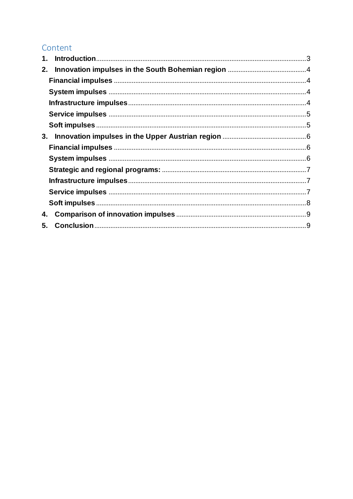# Content

| 1. |  |  |  |
|----|--|--|--|
| 2. |  |  |  |
|    |  |  |  |
|    |  |  |  |
|    |  |  |  |
|    |  |  |  |
|    |  |  |  |
| 3. |  |  |  |
|    |  |  |  |
|    |  |  |  |
|    |  |  |  |
|    |  |  |  |
|    |  |  |  |
|    |  |  |  |
| 4. |  |  |  |
| 5. |  |  |  |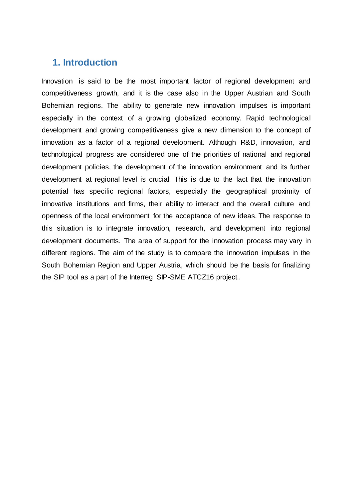### <span id="page-2-0"></span>**1. Introduction**

Innovation is said to be the most important factor of regional development and competitiveness growth, and it is the case also in the Upper Austrian and South Bohemian regions. The ability to generate new innovation impulses is important especially in the context of a growing globalized economy. Rapid technological development and growing competitiveness give a new dimension to the concept of innovation as a factor of a regional development. Although R&D, innovation, and technological progress are considered one of the priorities of national and regional development policies, the development of the innovation environment and its further development at regional level is crucial. This is due to the fact that the innovation potential has specific regional factors, especially the geographical proximity of innovative institutions and firms, their ability to interact and the overall culture and openness of the local environment for the acceptance of new ideas. The response to this situation is to integrate innovation, research, and development into regional development documents. The area of support for the innovation process may vary in different regions. The aim of the study is to compare the innovation impulses in the South Bohemian Region and Upper Austria, which should be the basis for finalizing the SIP tool as a part of the Interreg SIP-SME ATCZ16 project..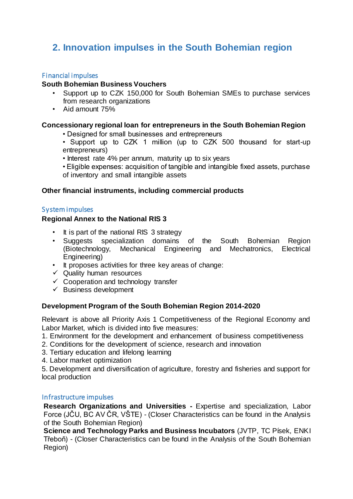# <span id="page-3-0"></span>**2. Innovation impulses in the South Bohemian region**

#### <span id="page-3-1"></span>Financial impulses

#### **South Bohemian Business Vouchers**

- Support up to CZK 150,000 for South Bohemian SMEs to purchase services from research organizations
- Aid amount 75%

#### **Concessionary regional loan for entrepreneurs in the South Bohemian Region**

- Designed for small businesses and entrepreneurs
- Support up to CZK 1 million (up to CZK 500 thousand for start-up entrepreneurs)
- Interest rate 4% per annum, maturity up to six years
- Eligible expenses: acquisition of tangible and intangible fixed assets, purchase of inventory and small intangible assets

#### **Other financial instruments, including commercial products**

#### <span id="page-3-2"></span>System impulses

#### **Regional Annex to the National RIS 3**

- It is part of the national RIS 3 strategy
- Suggests specialization domains of the South Bohemian Region (Biotechnology, Mechanical Engineering and Mechatronics, Electrical Engineering)
- It proposes activities for three key areas of change:
- $\checkmark$  Quality human resources
- $\checkmark$  Cooperation and technology transfer
- $\checkmark$  Business development

#### **Development Program of the South Bohemian Region 2014-2020**

Relevant is above all Priority Axis 1 Competitiveness of the Regional Economy and Labor Market, which is divided into five measures:

- 1. Environment for the development and enhancement of business competitiveness
- 2. Conditions for the development of science, research and innovation
- 3. Tertiary education and lifelong learning
- 4. Labor market optimization

5. Development and diversification of agriculture, forestry and fisheries and support for local production

#### <span id="page-3-3"></span>Infrastructure impulses

**Research Organizations and Universities -** Expertise and specialization, Labor Force (JČU, BC AV ČR, VŠTE) - (Closer Characteristics can be found in the Analysis of the South Bohemian Region)

**Science and Technology Parks and Business Incubators** (JVTP, TC Písek, ENKI Třeboň) - (Closer Characteristics can be found in the Analysis of the South Bohemian Region)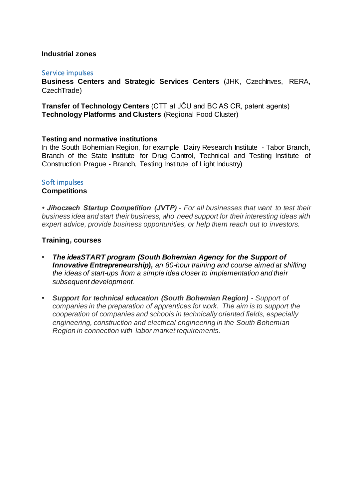#### **Industrial zones**

#### <span id="page-4-0"></span>Service impulses

**Business Centers and Strategic Services Centers** (JHK, CzechInves, RERA, CzechTrade)

**Transfer of Technology Centers** (CTT at JČU and BC AS CR, patent agents) **Technology Platforms and Clusters** (Regional Food Cluster)

#### **Testing and normative institutions**

In the South Bohemian Region, for example, Dairy Research Institute - Tabor Branch, Branch of the State Institute for Drug Control, Technical and Testing Institute of Construction Prague - Branch, Testing Institute of Light Industry)

#### <span id="page-4-1"></span>Soft impulses

#### **Competitions**

*• Jihoczech Startup Competition (JVTP) - For all businesses that want to test their business idea and start their business, who need support for their interesting ideas with expert advice, provide business opportunities, or help them reach out to investors.*

#### **Training, courses**

- *The ideaSTART program (South Bohemian Agency for the Support of Innovative Entrepreneurship), an 80-hour training and course aimed at shifting the ideas of start-ups from a simple idea closer to implementation and their subsequent development.*
- *Support for technical education (South Bohemian Region) - Support of companies in the preparation of apprentices for work. The aim is to support the cooperation of companies and schools in technically oriented fields, especially engineering, construction and electrical engineering in the South Bohemian Region in connection with labor market requirements.*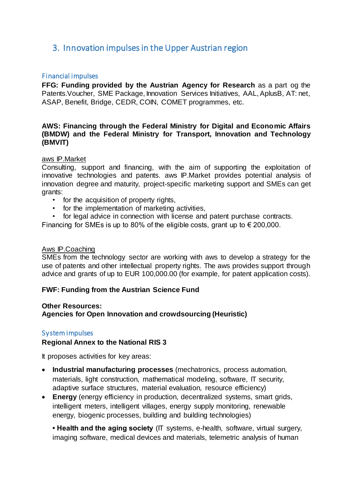## <span id="page-5-0"></span>3. Innovation impulses in the Upper Austrian region

#### <span id="page-5-1"></span>Financial impulses

**FFG: Funding provided by the Austrian Agency for Research** as a part og the Patents.Voucher, SME Package, Innovation Services Initiatives, AAL, AplusB, AT: net, ASAP, Benefit, Bridge, CEDR, COIN, COMET programmes, etc.

#### **AWS: Financing through the Federal Ministry for Digital and Economic Affairs (BMDW) and the Federal Ministry for Transport, Innovation and Technology (BMVIT)**

#### aws IP.Market

Consulting, support and financing, with the aim of supporting the exploitation of innovative technologies and patents. aws IP.Market provides potential analysis of innovation degree and maturity, project-specific marketing support and SMEs can get grants:

- for the acquisition of property rights.
- for the implementation of marketing activities,
- for legal advice in connection with license and patent purchase contracts.

Financing for SMEs is up to 80% of the eligible costs, grant up to  $\epsilon$  200,000.

#### Aws IP.Coaching

SMEs from the technology sector are working with aws to develop a strategy for the use of patents and other intellectual property rights. The aws provides support through advice and grants of up to EUR 100,000.00 (for example, for patent application costs).

#### **FWF: Funding from the Austrian Science Fund**

#### **Other Resources:**

**Agencies for Open Innovation and crowdsourcing (Heuristic)**

#### <span id="page-5-2"></span>System impulses

#### **Regional Annex to the National RIS 3**

It proposes activities for key areas:

- **Industrial manufacturing processes** (mechatronics, process automation, materials, light construction, mathematical modeling, software, IT security, adaptive surface structures, material evaluation, resource efficiency)
- **Energy** (energy efficiency in production, decentralized systems, smart grids, intelligent meters, intelligent villages, energy supply monitoring, renewable energy, biogenic processes, building and building technologies)

**• Health and the aging society** (IT systems, e-health, software, virtual surgery, imaging software, medical devices and materials, telemetric analysis of human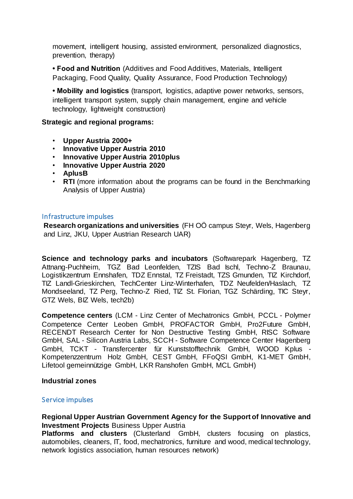movement, intelligent housing, assisted environment, personalized diagnostics, prevention, therapy)

**• Food and Nutrition** (Additives and Food Additives, Materials, Intelligent Packaging, Food Quality, Quality Assurance, Food Production Technology)

**• Mobility and logistics** (transport, logistics, adaptive power networks, sensors, intelligent transport system, supply chain management, engine and vehicle technology, lightweight construction)

#### <span id="page-6-0"></span>**Strategic and regional programs:**

- **Upper Austria 2000+**
- **Innovative Upper Austria 2010**
- **Innovative Upper Austria 2010plus**
- **Innovative Upper Austria 2020**
- **AplusB**
- **RTI** (more information about the programs can be found in the Benchmarking Analysis of Upper Austria)

#### <span id="page-6-1"></span>Infrastructure impulses

**Research organizations and universities** (FH OÖ campus Steyr, Wels, Hagenberg and Linz, JKU, Upper Austrian Research UAR)

**Science and technology parks and incubators** (Softwarepark Hagenberg, TZ Attnang-Puchheim, TGZ Bad Leonfelden, TZIS Bad Ischl, Techno-Z Braunau, Logistikzentrum Ennshafen, TDZ Ennstal, TZ Freistadt, TZS Gmunden, TIZ Kirchdorf, TIZ Landl-Grieskirchen, TechCenter Linz-Winterhafen, TDZ Neufelden/Haslach, TZ Mondseeland, TZ Perg, Techno-Z Ried, TIZ St. Florian, TGZ Schärding, TIC Steyr, GTZ Wels, BIZ Wels, tech2b)

**Competence centers** (LCM - Linz Center of Mechatronics GmbH, PCCL - Polymer Competence Center Leoben GmbH, PROFACTOR GmbH, Pro2Future GmbH, RECENDT Research Center for Non Destructive Testing GmbH, RISC Software GmbH, SAL - Silicon Austria Labs, SCCH - Software Competence Center Hagenberg GmbH, TCKT - Transfercenter für Kunststofftechnik GmbH, WOOD Kplus - Kompetenzzentrum Holz GmbH, CEST GmbH, FFoQSI GmbH, K1-MET GmbH, Lifetool gemeinnützige GmbH, LKR Ranshofen GmbH, MCL GmbH)

#### **Industrial zones**

#### <span id="page-6-2"></span>Service impulses

**Regional Upper Austrian Government Agency for the Support of Innovative and Investment Projects** Business Upper Austria

**Platforms and clusters** (Clusterland GmbH, clusters focusing on plastics, automobiles, cleaners, IT, food, mechatronics, furniture and wood, medical technology, network logistics association, human resources network)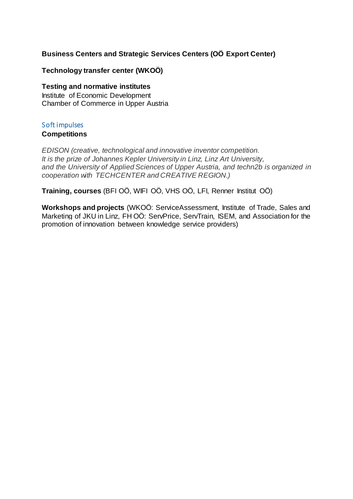#### **Business Centers and Strategic Services Centers (OÖ Export Center)**

#### **Technology transfer center (WKOÖ)**

#### **Testing and normative institutes**

Institute of Economic Development Chamber of Commerce in Upper Austria

#### <span id="page-7-0"></span>Soft impulses

#### **Competitions**

*EDISON (creative, technological and innovative inventor competition. It is the prize of Johannes Kepler University in Linz, Linz Art University, and the University of Applied Sciences of Upper Austria, and techn2b is organized in cooperation with TECHCENTER and CREATIVE REGION.)*

**Training, courses** (BFI OÖ, WIFI OÖ, VHS OÖ, LFI, Renner Institut OÖ)

**Workshops and projects** (WKOÖ: ServiceAssessment, Institute of Trade, Sales and Marketing of JKU in Linz, FH OÖ: ServPrice, ServTrain, ISEM, and Association for the promotion of innovation between knowledge service providers)